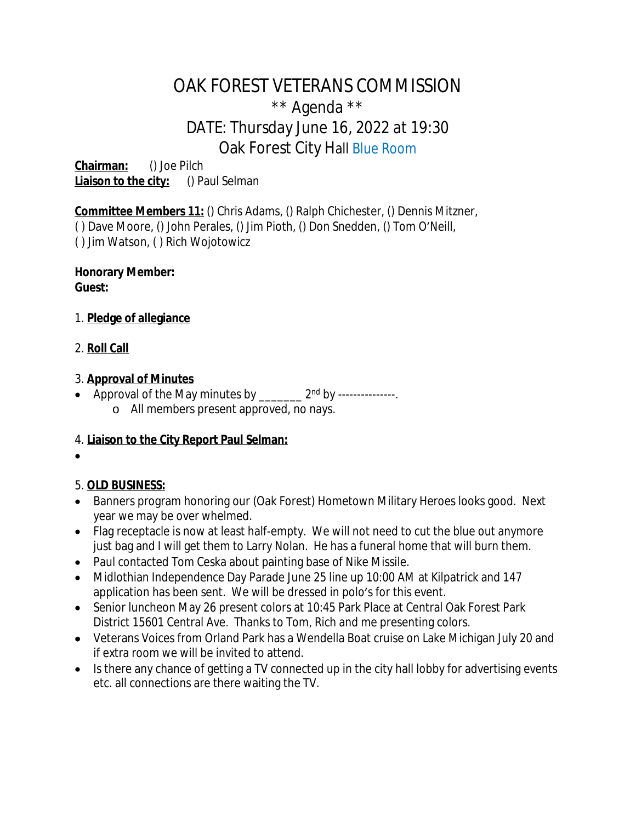# OAK FOREST VETERANS COMMISSION \*\* Agenda \*\* DATE: Thursday June 16, 2022 at 19:30 Oak Forest City Hall Blue Room

**Chairman:** () Joe Pilch **Liaison to the city:** () Paul Selman

**Committee Members 11:** () Chris Adams, () Ralph Chichester, () Dennis Mitzner, ( ) Dave Moore, () John Perales, () Jim Pioth, () Don Snedden, () Tom O'Neill, ( ) Jim Watson, ( ) Rich Wojotowicz

**Honorary Member: Guest:**

- 1. **Pledge of allegiance**
- 2. **Roll Call**

## 3. **Approval of Minutes**

• Approval of the May minutes by  $2<sup>nd</sup>$  by --------------o All members present approved, no nays.

## 4. **Liaison to the City Report Paul Selman:**

 $\bullet$ 

## 5. **OLD BUSINESS:**

- Banners program honoring our (Oak Forest) Hometown Military Heroes looks good. Next year we may be over whelmed.
- Flag receptacle is now at least half-empty. We will not need to cut the blue out anymore just bag and I will get them to Larry Nolan. He has a funeral home that will burn them.
- Paul contacted Tom Ceska about painting base of Nike Missile.
- Midlothian Independence Day Parade June 25 line up 10:00 AM at Kilpatrick and 147 application has been sent. We will be dressed in polo's for this event.
- Senior luncheon May 26 present colors at 10:45 Park Place at Central Oak Forest Park District 15601 Central Ave. Thanks to Tom, Rich and me presenting colors.
- Veterans Voices from Orland Park has a Wendella Boat cruise on Lake Michigan July 20 and if extra room we will be invited to attend.
- Is there any chance of getting a TV connected up in the city hall lobby for advertising events etc. all connections are there waiting the TV.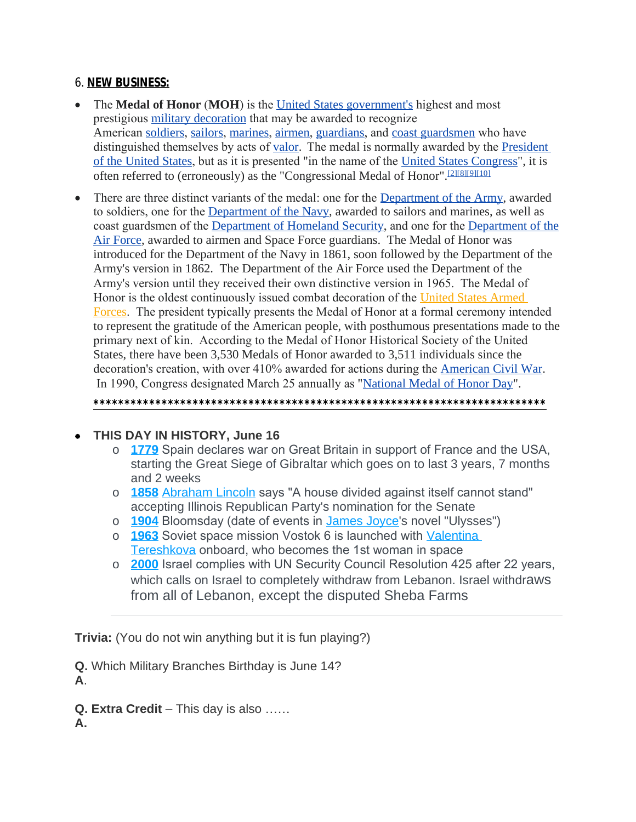### 6. **NEW BUSINESS:**

- The **Medal of Honor** (**MOH**) is the [United States government's](https://en.wikipedia.org/wiki/Federal_government_of_the_United_States) highest and most prestigious [military decoration](https://en.wikipedia.org/wiki/Awards_and_decorations_of_the_United_States_Armed_Forces) that may be awarded to recognize American [soldiers](https://en.wikipedia.org/wiki/United_States_Army), [sailors](https://en.wikipedia.org/wiki/United_States_Navy), [marines](https://en.wikipedia.org/wiki/United_States_Marine_Corps), [airmen](https://en.wikipedia.org/wiki/United_States_Air_Force), [guardians](https://en.wikipedia.org/wiki/United_States_Space_Force), and [coast guardsmen](https://en.wikipedia.org/wiki/United_States_Coast_Guard) who have distinguished themselves by acts of [valor.](https://en.wikipedia.org/wiki/Courage) The medal is normally awarded by the **President** of the United States, but as it is presented "in the name of the [United States Congress](https://en.wikipedia.org/wiki/United_States_Congress)", it is often referred to (erroneously) as the "Congressional Medal of Honor".[\[2\]](https://en.wikipedia.org/wiki/Medal_of_Honor#"cite_note-regulations-2")[\[8\]](https://en.wikipedia.org/wiki/Medal_of_Honor#"cite_note-Senate-10")[\[9\]](https://en.wikipedia.org/wiki/Medal_of_Honor#"cite_note-LoC-11")[\[10\]](https://en.wikipedia.org/wiki/Medal_of_Honor#"cite_note-12")
- There are three distinct variants of the medal: one for the [Department of the Army,](https://en.wikipedia.org/wiki/United_States_Department_of_the_Army) awarded to soldiers, one for the [Department of the Navy,](https://en.wikipedia.org/wiki/United_States_Department_of_the_Navy) awarded to sailors and marines, as well as coast guardsmen of the [Department of Homeland Security](https://en.wikipedia.org/wiki/United_States_Department_of_Homeland_Security), and one for the [Department of the](https://en.wikipedia.org/wiki/United_States_Department_of_the_Air_Force) Air Force, awarded to airmen and Space Force guardians. The Medal of Honor was introduced for the Department of the Navy in 1861, soon followed by the Department of the Army's version in 1862. The Department of the Air Force used the Department of the Army's version until they received their own distinctive version in 1965. The Medal of Honor is the oldest continuously issued combat decoration of the [United States Armed](https://en.wikipedia.org/wiki/United_States_Armed_Forces)  Forces. The president typically presents the Medal of Honor at a formal ceremony intended to represent the gratitude of the American people, with posthumous presentations made to the primary next of kin. According to the Medal of Honor Historical Society of the United States, there have been 3,530 Medals of Honor awarded to 3,511 individuals since the decoration's creation, with over 410% awarded for actions during the [American Civil War](https://en.wikipedia.org/wiki/American_Civil_War). In 1990, Congress designated March 25 annually as "[National Medal of Honor Day](https://en.wikipedia.org/wiki/Medal_of_Honor_Day)".

**\*\*\*\*\*\*\*\*\*\*\*\*\*\*\*\*\*\*\*\*\*\*\*\*\*\*\*\*\*\*\*\*\*\*\*\*\*\*\*\*\*\*\*\*\*\*\*\*\*\*\*\*\*\*\*\*\*\*\*\*\*\*\*\*\*\*\*\*\*\*\*\*\***

#### **THIS DAY IN HISTORY, June 16**

- o **[1779](https://www.onthisday.com/events/date/1779)** Spain declares war on Great Britain in support of France and the USA, starting the Great Siege of Gibraltar which goes on to last 3 years, 7 months and 2 weeks
- o **[1858](https://www.onthisday.com/events/date/1858)** [Abraham Lincoln](https://www.onthisday.com/people/abraham-lincoln) says "A house divided against itself cannot stand" accepting Illinois Republican Party's nomination for the Senate
- o **[1904](https://www.onthisday.com/events/date/1904)** Bloomsday (date of events in [James Joyce](https://www.onthisday.com/people/james-joyce)'s novel "Ulysses")
- o **[1963](https://www.onthisday.com/events/date/1963)** Soviet space mission Vostok 6 is launched with [Valentina](https://www.onthisday.com/people/valentina-tereshkova)  Tereshkova onboard, who becomes the 1st woman in space
- o **[2000](https://www.onthisday.com/events/date/2000)** Israel complies with UN Security Council Resolution 425 after 22 years, which calls on Israel to completely withdraw from Lebanon. Israel withdraws from all of Lebanon, except the disputed Sheba Farms

**Trivia:** (You do not win anything but it is fun playing?)

**Q.** Which Military Branches Birthday is June 14?

**A**.

**Q. Extra Credit** – This day is also …… **A.**